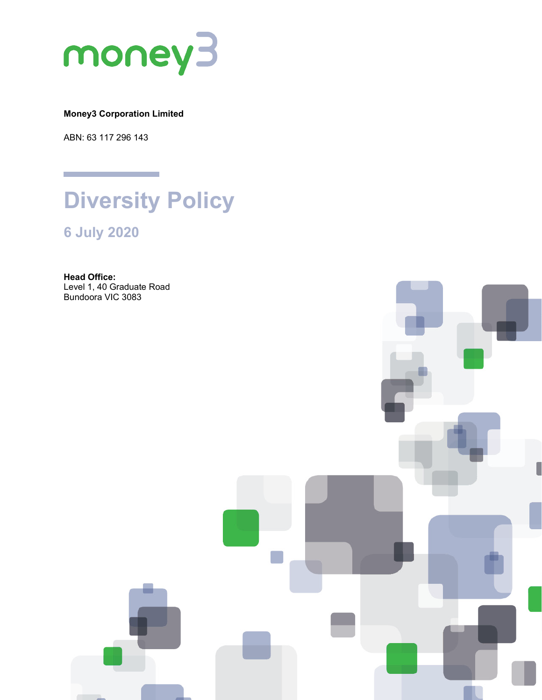

**Money3 Corporation Limited**

ABN: 63 117 296 143



**6 July 2020**

**Head Office:** Level 1, 40 Graduate Road Bundoora VIC 3083

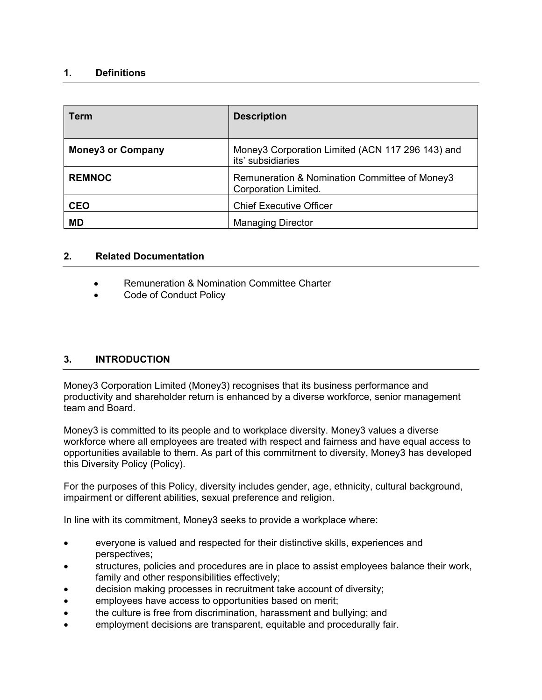## **1. Definitions**

| <b>Term</b>              | <b>Description</b>                                                    |
|--------------------------|-----------------------------------------------------------------------|
| <b>Money3 or Company</b> | Money3 Corporation Limited (ACN 117 296 143) and<br>its' subsidiaries |
| <b>REMNOC</b>            | Remuneration & Nomination Committee of Money3<br>Corporation Limited. |
| <b>CEO</b>               | <b>Chief Executive Officer</b>                                        |
| <b>MD</b>                | <b>Managing Director</b>                                              |

#### **2. Related Documentation**

- Remuneration & Nomination Committee Charter
- Code of Conduct Policy

### **3. INTRODUCTION**

Money3 Corporation Limited (Money3) recognises that its business performance and productivity and shareholder return is enhanced by a diverse workforce, senior management team and Board.

Money3 is committed to its people and to workplace diversity. Money3 values a diverse workforce where all employees are treated with respect and fairness and have equal access to opportunities available to them. As part of this commitment to diversity, Money3 has developed this Diversity Policy (Policy).

For the purposes of this Policy, diversity includes gender, age, ethnicity, cultural background, impairment or different abilities, sexual preference and religion.

In line with its commitment, Money3 seeks to provide a workplace where:

- everyone is valued and respected for their distinctive skills, experiences and perspectives;
- structures, policies and procedures are in place to assist employees balance their work, family and other responsibilities effectively;
- decision making processes in recruitment take account of diversity;
- employees have access to opportunities based on merit;
- the culture is free from discrimination, harassment and bullying; and
- employment decisions are transparent, equitable and procedurally fair.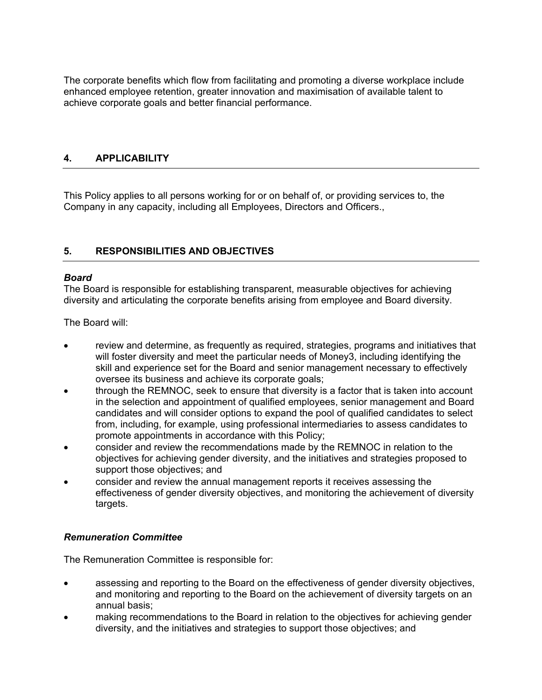The corporate benefits which flow from facilitating and promoting a diverse workplace include enhanced employee retention, greater innovation and maximisation of available talent to achieve corporate goals and better financial performance.

# **4. APPLICABILITY**

This Policy applies to all persons working for or on behalf of, or providing services to, the Company in any capacity, including all Employees, Directors and Officers.,

# **5. RESPONSIBILITIES AND OBJECTIVES**

#### *Board*

The Board is responsible for establishing transparent, measurable objectives for achieving diversity and articulating the corporate benefits arising from employee and Board diversity.

The Board will:

- review and determine, as frequently as required, strategies, programs and initiatives that will foster diversity and meet the particular needs of Money3, including identifying the skill and experience set for the Board and senior management necessary to effectively oversee its business and achieve its corporate goals;
- through the REMNOC, seek to ensure that diversity is a factor that is taken into account in the selection and appointment of qualified employees, senior management and Board candidates and will consider options to expand the pool of qualified candidates to select from, including, for example, using professional intermediaries to assess candidates to promote appointments in accordance with this Policy;
- consider and review the recommendations made by the REMNOC in relation to the objectives for achieving gender diversity, and the initiatives and strategies proposed to support those objectives; and
- consider and review the annual management reports it receives assessing the effectiveness of gender diversity objectives, and monitoring the achievement of diversity targets.

### *Remuneration Committee*

The Remuneration Committee is responsible for:

- assessing and reporting to the Board on the effectiveness of gender diversity objectives, and monitoring and reporting to the Board on the achievement of diversity targets on an annual basis;
- making recommendations to the Board in relation to the objectives for achieving gender diversity, and the initiatives and strategies to support those objectives; and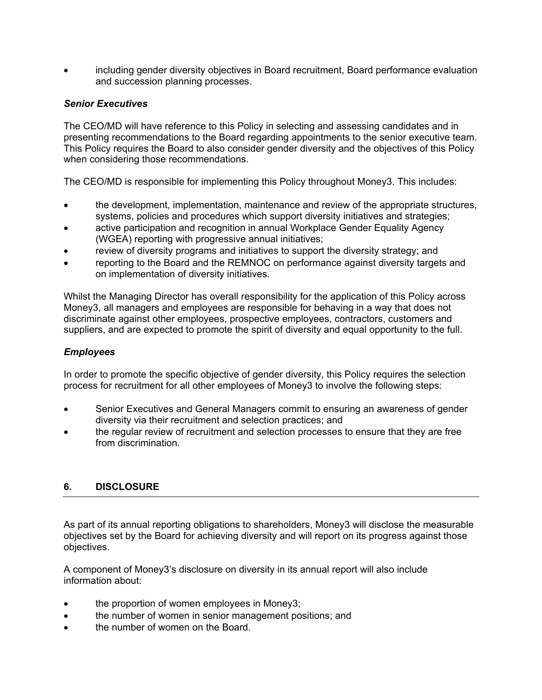• including gender diversity objectives in Board recruitment, Board performance evaluation and succession planning processes.

## *Senior Executives*

The CEO/MD will have reference to this Policy in selecting and assessing candidates and in presenting recommendations to the Board regarding appointments to the senior executive team. This Policy requires the Board to also consider gender diversity and the objectives of this Policy when considering those recommendations.

The CEO/MD is responsible for implementing this Policy throughout Money3. This includes:

- the development, implementation, maintenance and review of the appropriate structures, systems, policies and procedures which support diversity initiatives and strategies;
- active participation and recognition in annual Workplace Gender Equality Agency (WGEA) reporting with progressive annual initiatives;
- review of diversity programs and initiatives to support the diversity strategy; and
- reporting to the Board and the REMNOC on performance against diversity targets and on implementation of diversity initiatives.

Whilst the Managing Director has overall responsibility for the application of this Policy across Money3, all managers and employees are responsible for behaving in a way that does not discriminate against other employees, prospective employees, contractors, customers and suppliers, and are expected to promote the spirit of diversity and equal opportunity to the full.

#### *Employees*

In order to promote the specific objective of gender diversity, this Policy requires the selection process for recruitment for all other employees of Money3 to involve the following steps:

- Senior Executives and General Managers commit to ensuring an awareness of gender diversity via their recruitment and selection practices; and
- the regular review of recruitment and selection processes to ensure that they are free from discrimination.

# **6. DISCLOSURE**

As part of its annual reporting obligations to shareholders, Money3 will disclose the measurable objectives set by the Board for achieving diversity and will report on its progress against those objectives.

A component of Money3's disclosure on diversity in its annual report will also include information about:

- the proportion of women employees in Money3;
- the number of women in senior management positions; and
- the number of women on the Board.